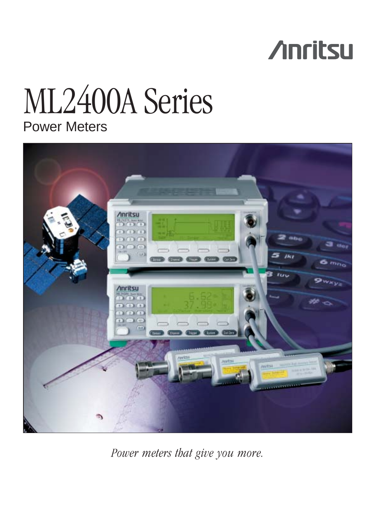# **Anritsu**

## Power Meters ML2400A Series



*Power meters that give you more.*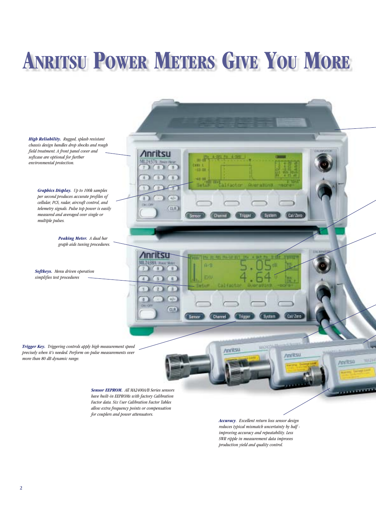# **ANRITSU POWER METERS GIVE YOU MORE**

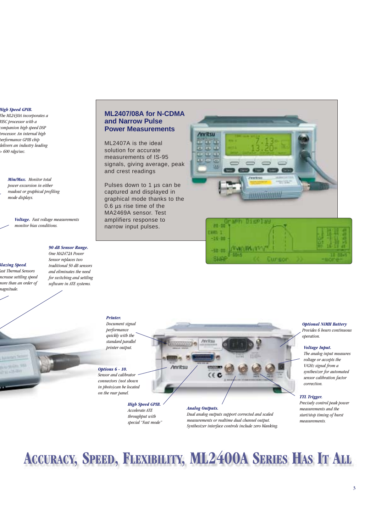#### *High Speed GPIB.*

*The ML2430A incorporates a RISC processor with a companion high speed DSP processor. An internal high performance GPIB chip delivers an industry leading > 600 rdgs/sec.* 



*Min/Max. Monitor total power excursion in either readout or graphical profiling mode displays.* 

> *Voltage. Fast voltage measurements monitor bias conditions.*

#### *90 dB Sensor Range. One MA2472A Power*

*Blazing Speed. Fast Thermal Sensors ncrease settling speed more than an order of magnitude.* 

 $-0.01$ 

*Sensor replaces two traditional 50 dB sensors and eliminates the need for switching and settling software in ATE systems.* 

#### **ML2407/08A for N-CDMA and Narrow Pulse Power Measurements**

ML2407A is the ideal solution for accurate measurements of IS-95 signals, giving average, peak and crest readings

Pulses down to 1 µs can be captured and displayed in graphical mode thanks to the 0.6 µs rise time of the MA2469A sensor. Test amplifiers response to narrow input pulses.





#### *Printer.*

*Document signal performance quickly with the standard parallel printer output.*

#### *Options 6 - 10.*

*Sensor and calibrator connectors (not shown in photo)can be located on the rear panel.*

Anritro

*High Speed GPIB. Accelerate ATE throughput with special "Fast mode"*

#### *Analog Outputs.*

Anritsu

*Dual analog outputs support corrected and scaled measurements or realtime dual channel output. Synthesizer interface controls include zero blanking.*

#### *Optional NiMH Battery*

*Provides 6 hours continuous operation.*

#### *Voltage Input.*

*The analog input measures voltage or accepts the V/GHz signal from a synthesizer for automated sensor calibration factor correction.*

#### *TTL Trigger.*

*Precisely control peak power measurements and the start/stop timing of burst measurements.*

## **ACCURACY, SPEED, FLEXIBILITY, ML2400A SERIES HAS IT ALL**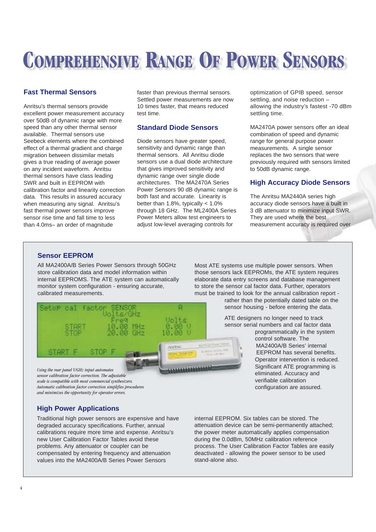## **COMPREHENSIVE RANGE OF POWER SENSORS**

#### **Fast Thermal Sensors**

Anritsu's thermal sensors provide excellent power measurement accuracy over 50dB of dynamic range with more speed than any other thermal sensor available. Thermal sensors use Seebeck elements where the combined effect of a thermal gradient and charge migration between dissimilar metals gives a true reading of average power on any incident waveform. Anritsu thermal sensors have class leading SWR and built in EEPROM with calibration factor and linearity correction data. This results in assured accuracy when measuring any signal. Anritsu's fast thermal power sensors improve sensor rise time and fall time to less than 4.0ms– an order of magnitude

faster than previous thermal sensors. Settled power measurements are now 10 times faster, that means reduced test time.

#### **Standard Diode Sensors**

Diode sensors have greater speed, sensitivity and dynamic range than thermal sensors. All Anritsu diode sensors use a dual diode architecture that gives improved sensitivity and dynamic range over single diode architectures. The MA2470A Series Power Sensors 90 dB dynamic range is both fast and accurate. Linearity is better than 1.8%, typically < 1.0% through 18 GHz. The ML2400A Series Power Meters allow test engineers to adjust low-level averaging controls for

۵

RT 1

Aniths

mitel 24.5 per

optimization of GPIB speed, sensor settling, and noise reduction – allowing the industry's fastest -70 dBm settling time.

MA2470A power sensors offer an ideal combination of speed and dynamic range for general purpose power measurements. A single sensor replaces the two sensors that were previously required with sensors limited to 50dB dynamic range.

### **High Accuracy Diode Sensors**

The Anritsu MA2440A series high accuracy diode sensors have a built in 3 dB attenuator to minimize input SWR. They are used where the best measurement accuracy is required over

#### **Sensor EEPROM**

Setup cal

START F

All MA2400A/B Series Power Sensors through 50GHz store calibration data and model information within internal EEPROMS. The ATE system can automatically monitor system configuration - ensuring accurate, calibrated measurements.

tsi

factor

STOP F

Most ATE systems use multiple power sensors. When those sensors lack EEPROMs, the ATE system requires elaborate data entry screens and database management to store the sensor cal factor data. Further, operators must be trained to look for the annual calibration report -

rather than the potentially dated table on the sensor housing - before entering the data.

ATE designers no longer need to track sensor serial numbers and cal factor data

programmatically in the system control software. The MA2400A/B Series' internal EEPROM has several benefits. Operator intervention is reduced. Significant ATE programming is eliminated. Accuracy and verifiable calibration configuration are assured.

*and minimizes the opportunity for operator errors.* **High Power Applications**

*Using the rear panel V/GHz input automates sensor calibration factor correction. The adjustable scale is compatible with most commercial synthesizers. Automatic calibration factor correction simplifies procedures*

Traditional high power sensors are expensive and have degraded accuracy specifications. Further, annual calibrations require more time and expense. Anritsu's new User Calibration Factor Tables avoid these problems. Any attenuator or coupler can be compensated by entering frequency and attenuation values into the MA2400A/B Series Power Sensors

internal EEPROM. Six tables can be stored. The attenuation device can be semi-permanently attached; the power meter automatically applies compensation during the 0.0dBm, 50MHz calibration reference process. The User Calibration Factor Tables are easily deactivated - allowing the power sensor to be used stand-alone also.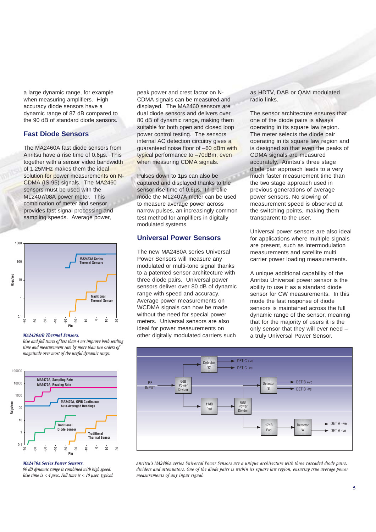a large dynamic range, for example when measuring amplifiers. High accuracy diode sensors have a dynamic range of 87 dB compared to the 90 dB of standard diode sensors.

#### **Fast Diode Sensors**

The MA2460A fast diode sensors from Anritsu have a rise time of 0.6µs. This together with a sensor video bandwidth of 1.25MHz makes them the ideal solution for power measurements on N-CDMA (IS-95) signals. The MA2460 sensors must be used with the ML2407/08A power meter. This combination of meter and sensor provides fast signal processing and sampling speeds. Average power,



#### *MA2420A/B Thermal Sensors.*

*Rise and fall times of less than 4 ms improve both settling time and measurement rate by more than two orders of magnitude over most of the useful dynamic range.*



#### *MA2470A Series Power Sensors.*

*90 dB dynamic range is combined with high speed. Rise time is < 4 µsec. Fall time is < 10 µsec, typical.*  peak power and crest factor on N-CDMA signals can be measured and displayed. The MA2460 sensors are dual diode sensors and delivers over 80 dB of dynamic range, making them suitable for both open and closed loop power control testing. The sensors internal AC detection circuitry gives a guaranteed noise floor of –60 dBm with typical performance to –70dBm, even when measuring CDMA signals.

Pulses down to 1µs can also be captured and displayed thanks to the sensor rise time of 0.6µs. In profile mode the ML2407A meter can be used to measure average power across narrow pulses, an increasingly common test method for amplifiers in digitally modulated systems.

#### **Universal Power Sensors**

The new MA2480A series Universal Power Sensors will measure any modulated or multi-tone signal thanks to a patented sensor architecture with three diode pairs. Universal power sensors deliver over 80 dB of dynamic range with speed and accuracy. Average power measurements on WCDMA signals can now be made without the need for special power meters. Universal sensors are also ideal for power measurements on other digitally modulated carriers such

#### as HDTV, DAB or QAM modulated radio links.

The sensor architecture ensures that one of the diode pairs is always operating in its square law region. The meter selects the diode pair operating in its square law region and is designed so that even the peaks of CDMA signals are measured accurately. Anritsu's three stage diode pair approach leads to a very much faster measurement time than the two stage approach used in previous generations of average power sensors. No slowing of measurement speed is observed at the switching points, making them transparent to the user.

Universal power sensors are also ideal for applications where multiple signals are present, such as intermodulation measurements and satellite multi carrier power loading measurements.

A unique additional capability of the Anritsu Universal power sensor is the ability to use it as a standard diode sensor for CW measurements. In this mode the fast response of diode sensors is maintained across the full dynamic range of the sensor, meaning that for the majority of users it is the only sensor that they will ever need – a truly Universal Power Sensor.



*Anritsu's MA2480A series Universal Power Sensors use a unique architecture with three cascaded diode pairs, dividers and attenuators. One of the diode pairs is within its square law region, ensuring true average power measurements of any input signal.*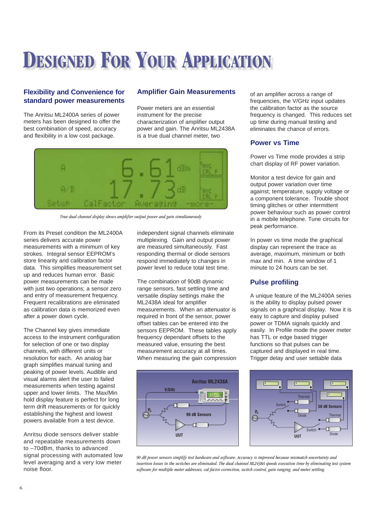## **DESIGNED FOR YOUR APPLICATION**

#### **Flexibility and Convenience for standard power measurements**

The Anritsu ML2400A series of power meters has been designed to offer the best combination of speed, accuracy and flexibility in a low cost package.

#### **Amplifier Gain Measurements**

Power meters are an essential instrument for the precise characterization of amplifier output power and gain. The Anritsu ML2438A is a true dual channel meter, two



*True dual channel display shows amplifier output power and gain simultaneously*

From its Preset condition the ML2400A series delivers accurate power measurements with a minimum of key strokes. Integral sensor EEPROM's store linearity and calibration factor data. This simplifies measurement set up and reduces human error. Basic power measurements can be made with just two operations; a sensor zero and entry of measurement frequency. Frequent recalibrations are eliminated as calibration data is memorized even after a power down cycle.

The Channel key gives immediate access to the instrument configuration for selection of one or two display channels, with different units or resolution for each. An analog bar graph simplifies manual tuning and peaking of power levels. Audible and visual alarms alert the user to failed measurements when testing against upper and lower limits. The Max/Min hold display feature is perfect for long term drift measurements or for quickly establishing the highest and lowest powers available from a test device.

Anritsu diode sensors deliver stable and repeatable measurements down to –70dBm, thanks to advanced signal processing with automated low level averaging and a very low meter noise floor.

independent signal channels eliminate multiplexing. Gain and output power are measured simultaneously. Fast responding thermal or diode sensors respond immediately to changes in power level to reduce total test time.

The combination of 90dB dynamic range sensors, fast settling time and versatile display settings make the ML2438A ideal for amplifier measurements. When an attenuator is required in front of the sensor, power offset tables can be entered into the sensors EEPROM. These tables apply frequency dependant offsets to the measured value, ensuring the best measurement accuracy at all times. When measuring the gain compression



of an amplifier across a range of frequencies, the V/GHz input updates the calibration factor as the source frequency is changed. This reduces set up time during manual testing and eliminates the chance of errors.

#### **Power vs Time**

Power vs Time mode provides a strip chart display of RF power variation.

Monitor a test device for gain and output power variation over time against; temperature, supply voltage or a component tolerance. Trouble shoot timing glitches or other intermittent power behaviour such as power control in a mobile telephone. Tune circuits for peak performance.

In power vs time mode the graphical display can represent the trace as average, maximum, minimum or both max and min. A time window of 1 minute to 24 hours can be set.

### **Pulse profiling**

A unique feature of the ML2400A series is the ability to display pulsed power signals on a graphical display. Now it is easy to capture and display pulsed power or TDMA signals quickly and easily. In Profile mode the power meter has TTL or edge based trigger functions so that pulses can be captured and displayed in real time. Trigger delay and user settable data

**50 dB Sensors UUT**  ${\sf P}_0$ A **B** A B A A Switch **Switch** Thermal Diode Thermal Diode

*90 dB power sensors simplify test hardware and software. Accuracy is improved because mismatch uncertainty and insertion losses in the switches are eliminated. The dual channel ML2438A speeds execution time by eliminating test system software for multiple meter addresses, cal factor correction, switch control, gain ranging, and meter settling.*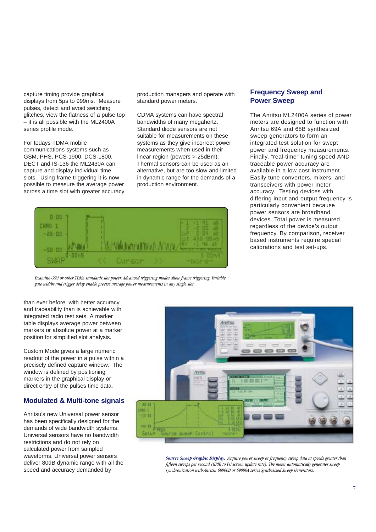capture timing provide graphical displays from 5µs to 999ms. Measure pulses, detect and avoid switching glitches, view the flatness of a pulse top – it is all possible with the ML2400A series profile mode.

For todays TDMA mobile communications systems such as GSM, PHS, PCS-1900, DCS-1800, DECT and IS-136 the ML2430A can capture and display individual time slots. Using frame triggering it is now possible to measure the average power across a time slot with greater accuracy production managers and operate with standard power meters.

CDMA systems can have spectral bandwidths of many megahertz. Standard diode sensors are not suitable for measurements on these systems as they give incorrect power measurements when used in their linear region (powers >-25dBm). Thermal sensors can be used as an alternative, but are too slow and limited in dynamic range for the demands of a production environment.



*Examine GSM or other TDMA standards slot power. Advanced triggering modes allow frame triggering. Variable gate widths and trigger delay enable precise average power measurements in any single slot.*

than ever before, with better accuracy and traceability than is achievable with integrated radio test sets. A marker table displays average power between markers or absolute power at a marker position for simplified slot analysis.

Custom Mode gives a large numeric readout of the power in a pulse within a precisely defined capture window. The window is defined by positioning markers in the graphical display or direct entry of the pulses time data.

#### **Modulated & Multi-tone signals**

Anritsu's new Universal power sensor has been specifically designed for the demands of wide bandwidth systems. Universal sensors have no bandwidth restrictions and do not rely on calculated power from sampled waveforms. Universal power sensors deliver 80dB dynamic range with all the speed and accuracy demanded by

#### **Frequency Sweep and Power Sweep**

The Anritsu ML2400A series of power meters are designed to function with Anritsu 69A and 68B synthesized sweep generators to form an integrated test solution for swept power and frequency measurements. Finally, "real-time" tuning speed AND traceable power accuracy are available in a low cost instrument. Easily tune converters, mixers, and transceivers with power meter accuracy. Testing devices with differing input and output frequency is particularly convenient because power sensors are broadband devices. Total power is measured regardless of the device's output frequency. By comparison, receiver based instruments require special calibrations and test set-ups.



*Source Sweep Graphic Display. Acquire power sweep or frequency sweep data at speeds greater than fifteen sweeps per second (GPIB to PC screen update rate). The meter automatically generates sweep synchronization with Anritsu 68000B or 69000A series Synthesized Sweep Generators.*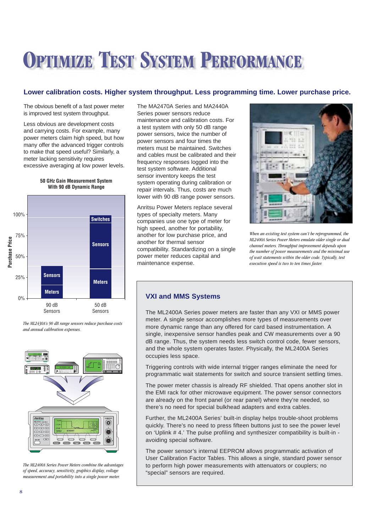## **OPTIMIZE TEST SYSTEM PERFORMANCE**

### **Lower calibration costs. Higher system throughput. Less programming time. Lower purchase price.**

The obvious benefit of a fast power meter is improved test system throughput.

Less obvious are development costs and carrying costs. For example, many power meters claim high speed, but how many offer the advanced trigger controls to make that speed useful? Similarly, a meter lacking sensitivity requires excessive averaging at low power levels.

**50 GHz Gain Measurement System With 90 dB Dynamic Range**



*The ML2430A's 90 dB range sensors reduce purchase costs and annual calibration expenses.*



*The ML2400A Series Power Meters combine the advantages of speed, accuracy, sensitivity, graphics display, voltage measurement and portability into a single power meter.*

The MA2470A Series and MA2440A Series power sensors reduce maintenance and calibration costs. For a test system with only 50 dB range power sensors, twice the number of power sensors and four times the meters must be maintained. Switches and cables must be calibrated and their frequency responses logged into the test system software. Additional sensor inventory keeps the test system operating during calibration or repair intervals. Thus, costs are much lower with 90 dB range power sensors.

Anritsu Power Meters replace several types of specialty meters. Many companies use one type of meter for high speed, another for portability, another for low purchase price, and another for thermal sensor compatibility. Standardizing on a single power meter reduces capital and maintenance expense.



*When an existing test system can't be reprogrammed, the ML2400A Series Power Meters emulate older single or dual channel meters. Throughput improvement depends upon the number of power measurements and the minimal use of wait statements within the older code. Typically, test execution speed is two to ten times faster.*

#### **VXI and MMS Systems**

The ML2400A Series power meters are faster than any VXI or MMS power meter. A single sensor accomplishes more types of measurements over more dynamic range than any offered for card based instrumentation. A single, inexpensive sensor handles peak and CW measurements over a 90 dB range. Thus, the system needs less switch control code, fewer sensors, and the whole system operates faster. Physically, the ML2400A Series occupies less space.

Triggering controls with wide internal trigger ranges eliminate the need for programmatic wait statements for switch and source transient settling times.

The power meter chassis is already RF shielded. That opens another slot in the EMI rack for other microwave equipment. The power sensor connectors are already on the front panel (or rear panel) where they're needed, so there's no need for special bulkhead adapters and extra cables.

Further, the ML2400A Series' built-in display helps trouble-shoot problems quickly. There's no need to press fifteen buttons just to see the power level on 'Uplink # 4.' The pulse profiling and synthesizer compatibility is built-in avoiding special software.

The power sensor's internal EEPROM allows programmatic activation of User Calibration Factor Tables. This allows a single, standard power sensor to perform high power measurements with attenuators or couplers; no "special" sensors are required.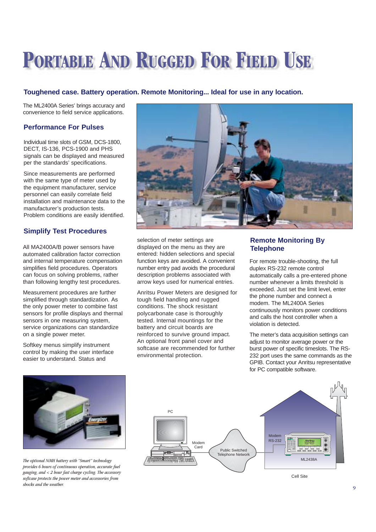## **PORTABLE AND RUGGED FOR FIELD USE**

#### **Toughened case. Battery operation. Remote Monitoring... Ideal for use in any location.**

The ML2400A Series' brings accuracy and convenience to field service applications.

#### **Performance For Pulses**

Individual time slots of GSM, DCS-1800, DECT, IS-136, PCS-1900 and PHS signals can be displayed and measured per the standards' specifications.

Since measurements are performed with the same type of meter used by the equipment manufacturer, service personnel can easily correlate field installation and maintenance data to the manufacturer's production tests. Problem conditions are easily identified.

### **Simplify Test Procedures**

All MA2400A/B power sensors have automated calibration factor correction and internal temperature compensation simplifies field procedures. Operators can focus on solving problems, rather than following lengthy test procedures.

Measurement procedures are further simplified through standardization. As the only power meter to combine fast sensors for profile displays and thermal sensors in one measuring system, service organizations can standardize on a single power meter.

Softkey menus simplify instrument control by making the user interface easier to understand. Status and



selection of meter settings are displayed on the menu as they are entered: hidden selections and special function keys are avoided. A convenient number entry pad avoids the procedural description problems associated with arrow keys used for numerical entries.

Anritsu Power Meters are designed for tough field handling and rugged conditions. The shock resistant polycarbonate case is thoroughly tested. Internal mountings for the battery and circuit boards are reinforced to survive ground impact. An optional front panel cover and softcase are recommended for further environmental protection.

#### **Remote Monitoring By Telephone**

For remote trouble-shooting, the full duplex RS-232 remote control automatically calls a pre-entered phone number whenever a limits threshold is exceeded. Just set the limit level, enter the phone number and connect a modem. The ML2400A Series continuously monitors power conditions and calls the host controller when a violation is detected.

The meter's data acquisition settings can adjust to monitor average power or the burst power of specific timeslots. The RS-232 port uses the same commands as the GPIB. Contact your Anritsu representative for PC compatible software.



*The optional NiMH battery with "Smart" technology provides 6 hours of continuous operation, accurate fuel gauging, and < 2 hour fast charge cycling. The accessory softcase protects the power meter and accessories from shocks and the weather.*

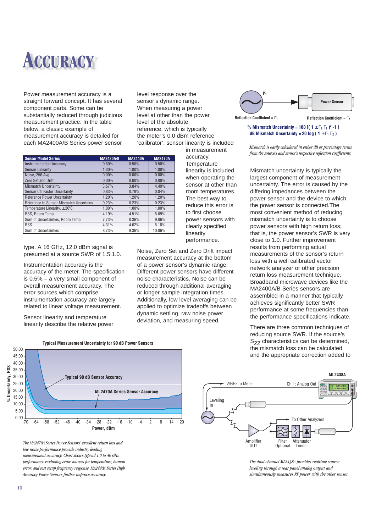

Power measurement accuracy is a straight forward concept. It has several component parts. Some can be substantially reduced through judicious measurement practice. In the table below, a classic example of measurement accuracy is detailed for each MA2400A/B Series power sensor level response over the sensor's dynamic range. When measuring a power level at other than the power level of the absolute reference, which is typically the meter's 0.0 dBm reference 'calibrator', sensor linearity is included in measurement

> accuracy. **Temperature** linearity is included when operating the sensor at other than room temperatures. The best way to reduce this error is to first choose power sensors with clearly specified

linearity performance.

Noise, Zero Set and Zero Drift impact measurement accuracy at the bottom of a power sensor's dynamic range. Different power sensors have different noise characteristics. Noise can be reduced through additional averaging or longer sample integration times. Additionally, low level averaging can be applied to optimize tradeoffs between dynamic settling, raw noise power deviation, and measuring speed.



### % Mismatch Uncertainty =  $100$  [ $(1 \pm \Gamma_1 \Gamma_2)^2 - 1$ ] **dB Mismatch Uncertainty = 20 log (1**  $\pm$  $\Gamma$ **<sub>1</sub>**  $\Gamma$ **<sub>2</sub>)**

*Mismatch is easily calculated in either dB or percentage terms from the source's and sensor's respective reflection coefficients.*

Mismatch uncertainty is typically the largest component of measurement uncertainty. The error is caused by the differing impedances between the power sensor and the device to which the power sensor is connected.The most convenient method of reducing mismatch uncertainty is to choose power sensors with high return loss; that is, the power sensor's SWR is very close to 1.0. Further improvement results from performing actual measurements of the sensor's return loss with a well calibrated vector network analyzer or other precision return loss measurement technique. Broadband microwave devices like the MA2400A/B Series sensors are assembled in a manner that typically achieves significantly better SWR performance at some frequencies than the performance specifications indicate.

There are three common techniques of reducing source SWR. If the source's  $S_{22}$  characteristics can be determined, the mismatch loss can be calculated and the appropriate correction added to



*The MA2470A Series Power Sensors' excellent return loss and low noise performance provide industry leading measurement accuracy. Chart shows typical 1.0 to 40 GHz performance excluding error sources for temperature, human error, and test setup frequency response. MA2440A Series High Accuracy Power Sensors further improve accuracy.*



*The dual channel ML2438A provides realtime source leveling through a rear panel analog output and simultaneously measures RF power with the other sensor.*

| <b>Sensor Model Series</b>                | <b>MA2420A/B</b> | <b>MA2440A</b> | <b>MA2470A</b> |
|-------------------------------------------|------------------|----------------|----------------|
| <b>Instrumentation Accuracy</b>           | 0.50%            | 0.50%          | 0.50%          |
| <b>Sensor Linearity</b>                   | 1.30%            | 1.80%          | 1.80%          |
| Noise, 256 Ava.                           | 0.00%            | 0.00%          | 0.00%          |
| Zero Set and Drift                        | $0.00\%$         | $0.00\%$       | 0.00%          |
| <b>Mismatch Uncertainty</b>               | 3.67%            | 3.84%          | 4.49%          |
| Sensor Cal Factor Uncertainty             | 0.83%            | 0.79%          | 0.84%          |
| Reference Power Uncertainty               | 1.20%            | 1.20%          | 1.20%          |
| Reference to Sensor Mismatch Uncertainy   | 0.23%            | 0.23%          | 0.23%          |
| Temperature Linearity, $\pm 20^{\circ}$ C | 1.00%            | 1.00%          | 1.00%          |
| RSS. Room Temp                            | 4.19%            | 4.51%          | 5.09%          |
| Sum of Uncertainties, Room Temp           | 7.73%            | 8.36%          | 9.06%          |
| <b>RSS</b>                                | 4.31%            | 4.62%          | 5.18%          |
| Sum of Uncertainties                      | 8.73%            | 9.36%          | 10.06%         |
|                                           |                  |                |                |

type. A 16 GHz, 12.0 dBm signal is presumed at a source SWR of 1.5:1.0.

Instrumentation accuracy is the accuracy of the meter. The specification is 0.5% – a very small component of overall measurement accuracy. The error sources which comprise instrumentation accuracy are largely related to linear voltage measurement.

Sensor linearity and temperature linearity describe the relative power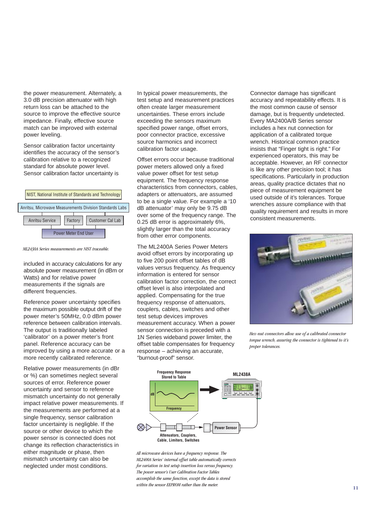the power measurement. Alternately, a 3.0 dB precision attenuator with high return loss can be attached to the source to improve the effective source impedance. Finally, effective source match can be improved with external power leveling.

Sensor calibration factor uncertainty identifies the accuracy of the sensor's calibration relative to a recognized standard for absolute power level. Sensor calibration factor uncertainty is



*ML2430A Series measurements are NIST traceable.*

included in accuracy calculations for any absolute power measurement (in dBm or Watts) and for relative power measurements if the signals are different frequencies.

Reference power uncertainty specifies the maximum possible output drift of the power meter's 50MHz, 0.0 dBm power reference between calibration intervals. The output is traditionally labeled 'calibrator' on a power meter's front panel. Reference accuracy can be improved by using a more accurate or a more recently calibrated reference.

Relative power measurements (in dBr or %) can sometimes neglect several sources of error. Reference power uncertainty and sensor to reference mismatch uncertainty do not generally impact relative power measurements. If the measurements are performed at a single frequency, sensor calibration factor uncertainty is negligble. If the source or other device to which the power sensor is connected does not change its reflection characteristics in either magnitude or phase, then mismatch uncertainty can also be neglected under most conditions.

In typical power measurements, the test setup and measurement practices often create larger measurement uncertainties. These errors include exceeding the sensors maximum specified power range, offset errors, poor connector practice, excessive source harmonics and incorrect calibration factor usage.

Offset errors occur because traditional power meters allowed only a fixed value power offset for test setup equipment. The frequency response characteristics from connectors, cables, adapters or attenuators, are assumed to be a single value. For example a '10 dB attenuator' may only be 9.75 dB over some of the frequency range. The 0.25 dB error is approximately 6%, slightly larger than the total accuracy from other error components.

The ML2400A Series Power Meters avoid offset errors by incorporating up to five 200 point offset tables of dB values versus frequency. As frequency information is entered for sensor calibration factor correction, the correct offset level is also interpolated and applied. Compensating for the true frequency response of attenuators, couplers, cables, switches and other test setup devices improves measurement accuracy. When a power sensor connection is preceded with a 1N Series wideband power limiter, the offset table compensates for frequency response – achieving an accurate, "burnout-proof" sensor.

Connector damage has significant accuracy and repeatability effects. It is the most common cause of sensor damage, but is frequently undetected. Every MA2400A/B Series sensor includes a hex nut connection for application of a calibrated torque wrench. Historical common practice insists that "Finger tight is right." For experienced operators, this may be acceptable. However, an RF connector is like any other precision tool; it has specifications. Particularly in production areas, quality practice dictates that no piece of measurement equipment be used outside of it's tolerances. Torque wrenches assure compliance with that quality requirement and results in more consistent measurements.



*Hex-nut connectors allow use of a calibrated connector torque wrench, assuring the connector is tightened to it's proper tolerances.*



*All microwave devices have a frequency response. The ML2400A Series' internal offset table automatically corrects for variation in test setup insertion loss versus frequency. The power sensor's User Calibration Factor Tables accomplish the same function, except the data is stored within the sensor EEPROM rather than the meter.*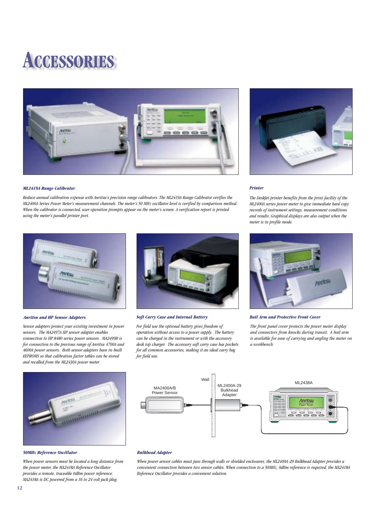## **ACCESSORIES**



*Reduce annual calibration expense with Anritsu's precision range calibrators. The ML2419A Range Calibrator verifies the ML2400A Series Power Meter's measurement channels. The meter's 50 MHz oscillator level is verified by comparison method. When the calibrator is connected, user operation prompts appear on the meter's screen. A verification report is printed*



#### *Printer*

*The DeskJet printer benefits from the print facility of the ML2400A series power meter to give immediate hard copy records of instrument settings, measurement conditions and results. Graphical displays are also output when the meter is in profile mode.*



#### *Anritsu and HP Sensor Adapters*

*using the meter's parallel printer port.*

*ML2419A Range Calibrator*

*Sensor adapters protect your existing investment in power sensors. The MA2497A HP sensor adapter enables connection to HP 8480 series power sensors. MA2499B is for connection to the previous range of Anritsu 4700A and 4600A power sensors. Both sensor adapters have in-built EEPROMS so that calibration factor tables can be stored and recalled from the ML2430A power meter.*



#### *Soft Carry Case and Internal Battery Bail Arm and Protective Front Cover*

*For field use the optional battery gives freedom of operation without access to a power supply. The battery can be charged in the instrument or with the accessory desk top charger. The accessory soft carry case has pockets for all common accessories, making it an ideal carry bag for field use.*



*The front panel cover protects the power meter display and connectors from knocks during transit. A bail arm is available for ease of carrying and angling the meter on a workbench.*



#### *50MHz Reference Oscillator*

*When power sensors must be located a long distance from the power meter, the MA2418A Reference Oscillator provides a remote, traceable 0dBm power reference. MA2418A is DC powered from a 16 to 24 volt jack plug.*



#### *Bulkhead Adapter*

*When power sensor cables must pass through walls or shielded enclosures, the ML2400A-29 Bulkhead Adapter provides a convenient connection between two sensor cables. When connection to a 50MHz, 0dBm reference is required, the MA2418A Reference Oscillator provides a convenient solution.*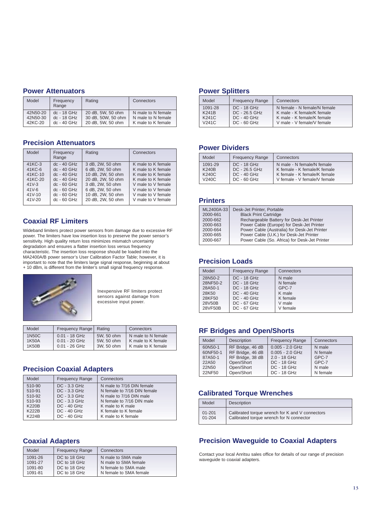#### **Power Attenuators**

| Model    | Frequency<br>Range | Rating             | Connectors         |
|----------|--------------------|--------------------|--------------------|
| 42N50-20 | $dc - 18$ GHz      | 20 dB, 5W, 50 ohm  | N male to N female |
| 42N50-30 | dc - 18 GHz        | 30 dB, 50W, 50 ohm | N male to N female |
| 42KC-20  | $dc - 40$ GHz      | 20 dB, 5W, 50 ohm  | K male to K female |

#### **Precision Attenuators**

| Model     | Frequency<br>Range | Rating            | Connectors         |
|-----------|--------------------|-------------------|--------------------|
| 41KC-3    | $dc - 40$ GHz      | 3 dB, 2W, 50 ohm  | K male to K female |
| 41KC-6    | $dc - 40$ GHz      | 6 dB, 2W, 50 ohm  | K male to K female |
| 41KC-10   | $dc - 40$ GHz      | 10 dB, 2W, 50 ohm | K male to K female |
| 41KC-20   | $dc - 40$ GHz      | 20 dB, 2W, 50 ohm | K male to K female |
| $41V-3$   | $dc - 60$ GHz      | 3 dB, 2W, 50 ohm  | V male to V female |
| $41V - 6$ | $dc - 60$ GHz      | 6 dB, 2W, 50 ohm  | V male to V female |
| $41V-10$  | $dc - 60$ GHz      | 10 dB, 2W, 50 ohm | V male to V female |
| 41V-20    | $dc - 60$ GHz      | 20 dB, 2W, 50 ohm | V male to V female |

#### **Coaxial RF Limiters**

Wideband limiters protect power sensors from damage due to excessive RF power. The limiters have low insertion loss to preserve the power sensor's sensitivity. High quality return loss minimizes mismatch uncertainty degradation and ensures a flatter insertion loss versus frequency characteristic. The insertion loss response should be loaded into the MA2400A/B power sensor's User Calibration Factor Table; however, it is important to note that the limiters large signal response, beginning at about + 10 dBm, is different from the limiter's small signal frequency response.



Inexpensive RF limiters protect sensors against damage from excessive input power.

| Model | Frequency Range | Rating     | Connectors         |
|-------|-----------------|------------|--------------------|
| 1N50C | $0.01 - 18$ GHz | 5W, 50 ohm | N male to N female |
| 1K50A | $0.01 - 20$ GHz | 5W, 50 ohm | K male to K female |
| 1K50B | $0.01 - 26$ GHz | 3W, 50 ohm | K male to K female |

#### **Precision Coaxial Adapters**

| Model        | <b>Frequency Range</b> | Connectors                  |
|--------------|------------------------|-----------------------------|
| 510-90       | $DC - 3.3 GHz$         | N male to 7/16 DIN female   |
| 510-91       | DC - 3.3 GHz           | N female to 7/16 DIN female |
| 510-92       | $DC - 3.3 GHz$         | N male to 7/16 DIN male     |
| 510-93       | DC - 3.3 GHz           | N female to 7/16 DIN male   |
| <b>K220B</b> | <b>DC - 40 GHz</b>     | K male to K male            |
| <b>K222B</b> | <b>DC - 40 GHz</b>     | K female to K female        |
| <b>K224B</b> | <b>DC - 40 GHz</b>     | K male to K female          |

#### **Coaxial Adapters**

| Model   | <b>Frequency Range</b> | <b>Connectors</b>      |
|---------|------------------------|------------------------|
| 1091-26 | DC to 18 GHz           | N male to SMA male     |
| 1091-27 | DC to 18 GHz           | N male to SMA female   |
| 1091-80 | DC to 18 GHz           | N female to SMA male   |
| 1091-81 | DC to 18 GHz           | N female to SMA female |

#### **Power Splitters**

| Model              | <b>Frequency Range</b> | Connectors                   |
|--------------------|------------------------|------------------------------|
| 1091-28            | $DC - 18$ $GHz$        | N female - N female/N female |
| K241B              | DC - 26.5 GHz          | K male - K female/K female   |
| <b>K241C</b>       | $DC - 40$ $GHz$        | K male - K female/K female   |
| V <sub>241</sub> C | $DC - 60$ $GHz$        | V male - V female/V female   |

#### **Power Dividers**

| Model        | <b>Frequency Range</b> | Connectors                   |
|--------------|------------------------|------------------------------|
| 1091-29      | $DC - 18$ $GHz$        | N male - N female/N female   |
| <b>K240B</b> | DC - 26.5 GHz          | K female - K female/K female |
| <b>K240C</b> | $DC - 40$ $GHz$        | K female - K female/K female |
| V240C        | $DC - 60$ $GHz$        | V female - V female/V female |

#### **Printers**

| ML2400A-33 | Desk-Jet Printer, Portable                    |
|------------|-----------------------------------------------|
| 2000-661   | <b>Black Print Cartridge</b>                  |
| 2000-662   | Rechargeable Battery for Desk-Jet Printer     |
| 2000-663   | Power Cable (Europe) for Desk-Jet Printer     |
| 2000-664   | Power Cable (Australia) for Desk-Jet Printer  |
| 2000-665   | Power Cable (U.K.) for Desk-Jet Printer       |
| 2000-667   | Power Cable (So. Africa) for Desk-Jet Printer |
|            |                                               |

#### **Precision Loads**

| Model    | <b>Frequency Range</b> | Connectors |
|----------|------------------------|------------|
| 28N50-2  | DC - 18 GHz            | N male     |
| 28NF50-2 | <b>DC - 18 GHz</b>     | N female   |
| 28A50-1  | <b>DC - 18 GHz</b>     | GPC-7      |
| 28K50    | <b>DC - 40 GHz</b>     | K male     |
| 28KF50   | <b>DC - 40 GHz</b>     | K female   |
| 28V50B   | DC - 67 GHz            | V male     |
| 28VF50B  | $DC - 67$ $GHz$        | V female   |

#### **RF Bridges and Open/Shorts**

| Model    | <b>Description</b> | <b>Frequency Range</b> | Connectors |
|----------|--------------------|------------------------|------------|
| 60N50-1  | RF Bridge, 46 dB   | $0.005 - 2.0$ GHz      | N male     |
| 60NF50-1 | RF Bridge, 46 dB   | $0.005 - 2.0$ GHz      | N female   |
| 87A50-1  | RF Bridge, 38 dB   | 2.0 - 18 GHz           | GPC-7      |
| 22A50    | Open/Short         | <b>DC - 18 GHz</b>     | GPC-7      |
| 22N50    | Open/Short         | <b>DC - 18 GHz</b>     | N male     |
| 22NF50   | Open/Short         | <b>DC - 18 GHz</b>     | N female   |

#### **Calibrated Torque Wrenches**

| Model      | <b>Description</b>                              |
|------------|-------------------------------------------------|
| $01 - 201$ | Calibrated torque wrench for K and V connectors |
| $01 - 204$ | Calibrated torque wrench for N connector        |

### **Precision Waveguide to Coaxial Adapters**

Contact your local Anritsu sales office for details of our range of precision waveguide to coaxial adapters.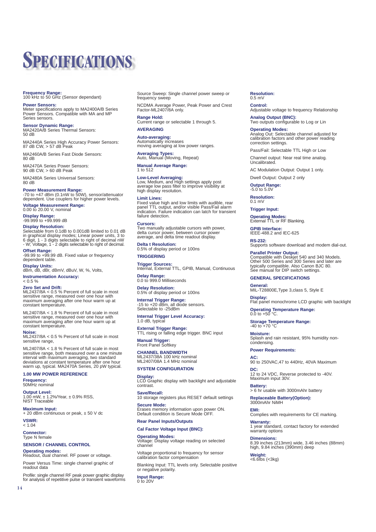## **SPECIFICATIONS**

### **Frequency Range:** 100 kHz to 50 GHz (Sensor dependant)

**Power Sensors:** Meter specifications apply to MA2400A/B Series Power Sensors. Compatible with MA and MP Series sensors.

**Sensor Dynamic Range:** MA2420A/B Series Thermal Sensors:  $50 \text{ dB}$ 

MA2440A Series High Accuracy Power Sensors: 87 dB CW, > 57 dB Peak

MA2460A/B Series Fast Diode Sensors: 80 dB

MA2470A Series Power Sensors: 90 dB CW, > 60 dB Peak

MA2480A Series Universal Sensors: 80 dB

**Power Measurement Range:** -70 to +47 dBm (0.1nW to 50W), sensor/attenuator dependent. Use couplers for higher power levels.

**Voltage Measurement Range:** 0.00 to 20.00 V, nominal

**Display Range:** -99.999 to +99.999 dB

**Display Resolution:** Selectable from 0.1dB to 0.001dB limited to 0.01 dB in graphical display modes; Linear power units, 3 to 6 digit, 1 - 3 digits selectable to right of decimal nW - W; Voltage, 1 - 2 digits selectable to right of decimal.

**Offset Range:**<br>-99.99 to +99.99 dB. Fixed value or frequency<br>dependent table.

**Display Units:** dBm, dB, dBr, dBmV, dBuV, W, %, Volts, **Instrumentation Accuracy:**

#### $< 0.5 \%$ **Zero Set and Drift:**

ML2437/8A < 0.5 % Percent of full scale in most sensitive range, measured over one hour with maximum averaging after one hour warm up at constant temperature.

ML2407/8A < 1.8 % Percent of full scale in most sensitive range, measured over one hour with maximum averaging after one hour warm up at constant temperature

#### **Noise:**

ML2437/8A < 0.5 % Percent of full scale in most sensitive range.

ML2407/8A < 1.8 % Percent of full scale in most<br>sensitive range, both measured over a one minute<br>interval with maximum averaging, two standard<br>deviations at constant temperature after one hour<br>warm up, typical. MA2470A Ser

#### **1.00 MW POWER REFERENCE**

**Frequency:** 50MHz nominal

**Output Level:** 1.00 mW, ± 1.2%/Year, ± 0.9% RSS, NIST Traceable

**Maximum Input:** + 20 dBm continuous or peak, ± 50 V dc

**VSWR:**  $\frac{2}{1.04}$ 

14

**Connector:** Type N female

#### **SENSOR / CHANNEL CONTROL**

**Operating modes:** Readout, dual channel. RF power or voltage.

Power Versus Time: single channel graphic of readout data

Profile: single channel RF peak power graphic display for analysis of repetitive pulse or transient waveforms Source Sweep: Single channel power sweep or frequency sweep

NCDMA Average Power, Peak Power and Crest Factor-ML2407/8A only.

**Range Hold:** Current range or selectable 1 through 5.

#### **AVERAGING**

**Auto-averaging:** Automatically increases moving averaging at low power ranges.

**Averaging Types:** Auto, Manual (Moving, Repeat)

**Manual Average Range:** 1 to 512

**Low-Level Averaging:** Low, Medium, and High settings apply post average low pass filter to improve visibility at high display resolution.

#### **Limit Lines:**

Fixed value high and low limits with audible, rear panel TTL output, and/or visible Pass/Fail alarm indication. Failure indication can latch for transient failure detection.

#### **Cursors:**

Two manually adjustable cursors with power, delta cursor power, between cursor power average, and delta time readout display.

**Delta t Resolution:** 0.5% of display period or 100ns

**TRIGGERING**

**Trigger Sources:** Internal, External TTL, GPIB, Manual, Continuous

**Delay Range:** 0.0 to 999.0 Milliseconds

**Delay Resolution:** 0.5% of display period or 100ns

**Internal Trigger Range:**<br>-15 to +20 dBm, all diode sensors.<br>Selectable to -25dBm

## **Internal Trigger Level Accuracy:** 1.0 dB, typical

**External Trigger Range:** TTL rising or falling edge trigger. BNC input

**Manual Trigger:** Front Panel Softkey

**CHANNEL BANDWIDTH** ML2437/38A 100 kHz nominal ML2407/08A 1.4 MHz nominal

#### **SYSTEM CONFIGURATION**

**Display:** LCD Graphic display with backlight and adjustable contrast.

**Save/Recall:** 10 storage registers plus RESET default settings **Secure Mode:**

Erases memory information upon power ON. Default condition is Secure Mode OFF.

#### **Rear Panel Inputs/Outputs Cal Factor Voltage Input (BNC):**

**Operating Modes:** Voltage: Display voltage reading on selected channel

Voltage proportional to frequency for sensor calibration factor compensation

Blanking Input: TTL levels only. Selectable positive or negative polarity.

**Input Range:** 0 to 20V

### **Resolution:** 0.5 mV

**Control: Sommon**<br>Adjustable voltage to frequency Relationship

**Analog Output (BNC):** Two outputs configurable to Log or Lin

#### **Operating Modes:**

Analog Out: Selectable channel adjusted for calibration factors and other power reading correction settings.

Pass/Fail: Selectable TTL High or Low

Channel output: Near real time analog. Uncalibrated.

AC Modulation Output: Output 1 only.

Dwell Output: Output 2 only

**Output Range:** -5.0 to 5.0V

**Resolution:**

0.1 mV

**Trigger Input:**

**Operating Modes:** External TTL or RF Blanking.

**GPIB Interface:** IEEE-488.2 and IEC-625

**RS-232:** Supports software download and modem dial-out.

**Parallel Printer Output:** Compatible with Deskjet 540 and 340 Models. Other 500 Series and 300 Series and later are typically compatible. Also Canon BJC 80. See manual for DIP switch settings.

#### **GENERAL SPECIFICATIONS**

**General:** MIL-T28800E,Type 3,class 5, Style E

**Display:** Flat panel monochrome LCD graphic with backlight

**Operating Temperature Range:** 0.0 to +50 °C.

**Storage Temperature Range:** -40 to +70 °C

**Moisture:** Splash and rain resistant, 95% humidity non-condensing.

#### **Power Requirements:**

**AC:** 90 to 250VAC,47 to 440Hz, 40VA Maximum

**DC:** 12 to 24 VDC, Reverse protected to -40V. Maximum input 30V.

**Battery:** > 6 hr usable with 3000mAhr battery

**Replaceable Battery(Option):** 3000mAhr NiMH

**EMI:**

**Dimensions:**

**Weight:** <6.6Ibs (<3kg)

Complies with requirements for CE marking. **Warranty:** 1 year standard, contact factory for extended warranty options

8.39 inches (213mm) wide, 3.46 inches (88mm) high, 9.84 inches (390mm) deep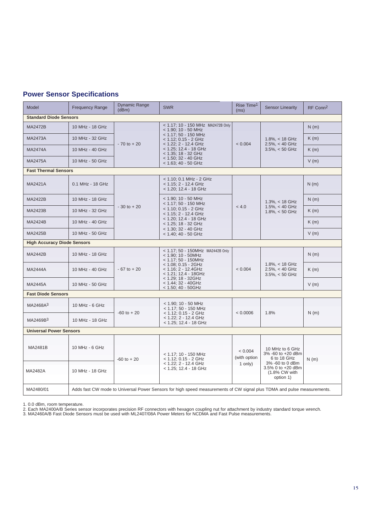### **Power Sensor Specifications**

| Model                              | <b>Frequency Range</b>                                                                                                  | <b>Dynamic Range</b><br>(dBm) | <b>SWR</b>                                                                                                                                                                                                                            | Rise Time <sup>1</sup><br>(ms) | <b>Sensor Linearity</b>                                            | RF Conn <sup>2</sup> |  |
|------------------------------------|-------------------------------------------------------------------------------------------------------------------------|-------------------------------|---------------------------------------------------------------------------------------------------------------------------------------------------------------------------------------------------------------------------------------|--------------------------------|--------------------------------------------------------------------|----------------------|--|
| <b>Standard Diode Sensors</b>      |                                                                                                                         |                               |                                                                                                                                                                                                                                       |                                |                                                                    |                      |  |
| <b>MA2472B</b>                     | 10 MHz - 18 GHz                                                                                                         | $-70$ to $+20$                | < 1.17; 10 - 150 MHz MA2472B Only<br>$<$ 1.90; 10 - 50 MHz<br>< 1.17; 50 - 150 MHz<br>< 1.12; 0.15 - 2 GHz<br>< 1.22; 2 - 12.4 GHz<br>< 1.25; 12.4 - 18 GHz<br>$<$ 1.35; 18 - 32 GHz<br>< 1.50; 32 - 40 GHz<br>< 1.63; 40 - 50 GHz    | < 0.004                        | $1.8\%$ , < 18 GHz<br>$2.5\%$ , < 40 GHz<br>$3.5\%$ , < 50 GHz     | N(m)                 |  |
| <b>MA2473A</b>                     | 10 MHz - 32 GHz                                                                                                         |                               |                                                                                                                                                                                                                                       |                                |                                                                    | K(m)                 |  |
| <b>MA2474A</b>                     | 10 MHz - 40 GHz                                                                                                         |                               |                                                                                                                                                                                                                                       |                                |                                                                    | K(m)                 |  |
| <b>MA2475A</b>                     | 10 MHz - 50 GHz                                                                                                         |                               |                                                                                                                                                                                                                                       |                                |                                                                    | V(m)                 |  |
| <b>Fast Thermal Sensors</b>        |                                                                                                                         |                               |                                                                                                                                                                                                                                       |                                |                                                                    |                      |  |
| <b>MA2421A</b>                     | 0.1 MHz - 18 GHz                                                                                                        | $-30$ to $+20$                | < 1.10; 0.1 MHz - 2 GHz<br>$<$ 1.15; 2 - 12.4 GHz<br>< 1.20; 12.4 - 18 GHz                                                                                                                                                            | < 4.0                          | $1.3\%$ , < 18 GHz<br>$1.5\%$ , < 40 GHz<br>$1.8\% < 50$ GHz       | N(m)                 |  |
| <b>MA2422B</b>                     | 10 MHz - 18 GHz                                                                                                         |                               | $<$ 1.90; 10 - 50 MHz<br>$<$ 1.17; 50 - 150 MHz<br>$<$ 1.10; 0.15 - 2 GHz<br>< 1.15; 2 - 12.4 GHz<br>$<$ 1.20: 12.4 - 18 GHz<br>$<$ 1.25: 18 - 32 GHz<br>< 1.30; 32 - 40 GHz<br>< 1.40; 40 - 50 GHz                                   |                                |                                                                    | N(m)                 |  |
| MA2423B                            | 10 MHz - 32 GHz                                                                                                         |                               |                                                                                                                                                                                                                                       |                                |                                                                    | K(m)                 |  |
| <b>MA2424B</b>                     | 10 MHz - 40 GHz                                                                                                         |                               |                                                                                                                                                                                                                                       |                                |                                                                    | K(m)                 |  |
| MA2425B                            | 10 MHz - 50 GHz                                                                                                         |                               |                                                                                                                                                                                                                                       |                                |                                                                    | V(m)                 |  |
| <b>High Accuracy Diode Sensors</b> |                                                                                                                         |                               |                                                                                                                                                                                                                                       |                                |                                                                    |                      |  |
| <b>MA2442B</b>                     | 10 MHz - 18 GHz                                                                                                         | $-67$ to $+20$                | < 1.17; 50 - 150MHz MA2442B Only<br>$<$ 1.90; 10 - 50MHz<br>$<$ 1.17; 50 - 150MHz<br>$<$ 1.08; 0.15 - 2GHz<br>$<$ 1.16: 2 - 12.4GHz<br>$<$ 1.21; 12.4 - 18GHz<br>$<$ 1.29; 18 - 32GHz<br>$<$ 1.44; 32 - 40GHz<br>$<$ 1.50; 40 - 50GHz | < 0.004                        | $1.8\%$ , < 18 GHz<br>$2.5\%$ , < 40 GHz<br>$3.5\%$ , < 50 GHz     | N(m)                 |  |
| <b>MA2444A</b>                     | 10 MHz - 40 GHz                                                                                                         |                               |                                                                                                                                                                                                                                       |                                |                                                                    | K(m)                 |  |
| <b>MA2445A</b>                     | 10 MHz - 50 GHz                                                                                                         |                               |                                                                                                                                                                                                                                       |                                |                                                                    | V(m)                 |  |
| <b>Fast Diode Sensors</b>          |                                                                                                                         |                               |                                                                                                                                                                                                                                       |                                |                                                                    |                      |  |
| MA2468A <sup>3</sup>               | 10 MHz - 6 GHz                                                                                                          | $-60$ to $+20$                | $<$ 1.90; 10 - 50 MHz<br>$<$ 1.17: 50 - 150 MHz<br>$<$ 1.12; 0.15 - 2 GHz<br>< 1.22; 2 - 12.4 GHz<br>< 1.25; 12.4 - 18 GHz                                                                                                            | < 0.0006                       | 1.8%                                                               |                      |  |
| MA2469B <sup>3</sup>               | 10 MHz - 18 GHz                                                                                                         |                               |                                                                                                                                                                                                                                       |                                |                                                                    | N(m)                 |  |
| <b>Universal Power Sensors</b>     |                                                                                                                         |                               |                                                                                                                                                                                                                                       |                                |                                                                    |                      |  |
|                                    |                                                                                                                         |                               |                                                                                                                                                                                                                                       |                                |                                                                    |                      |  |
| <b>MA2481B</b>                     | 10 MHz - 6 GHz                                                                                                          | $-60$ to $+20$                | $<$ 1.17; 10 - 150 MHz<br>$<$ 1.12; 0.15 - 2 GHz                                                                                                                                                                                      | < 0.004<br>(with option        | 10 MHz to 6 GHz<br>3% -60 to +20 dBm<br>6 to 18 GHz                | N(m)                 |  |
| <b>MA2482A</b>                     | 10 MHz - 18 GHz                                                                                                         |                               | < 1.22; 2 - 12.4 GHz<br>< 1.25; 12.4 - 18 GHz                                                                                                                                                                                         | 1 only)                        | 3% -60 to 0 dBm<br>3.5% 0 to +20 dBm<br>(1.8% CW with<br>option 1) |                      |  |
| MA2480/01                          | Adds fast CW mode to Universal Power Sensors for high speed measurements of CW signal plus TDMA and pulse measurements. |                               |                                                                                                                                                                                                                                       |                                |                                                                    |                      |  |

1. 0.0 dBm, room temperature.<br>2. Each MA2400A/B Series sensor incorporates precision RF connectors with hexagon coupling nut for attachment by industry standard torque wrench.<br>3. MA2460A/B Fast Diode Sensors must be used w